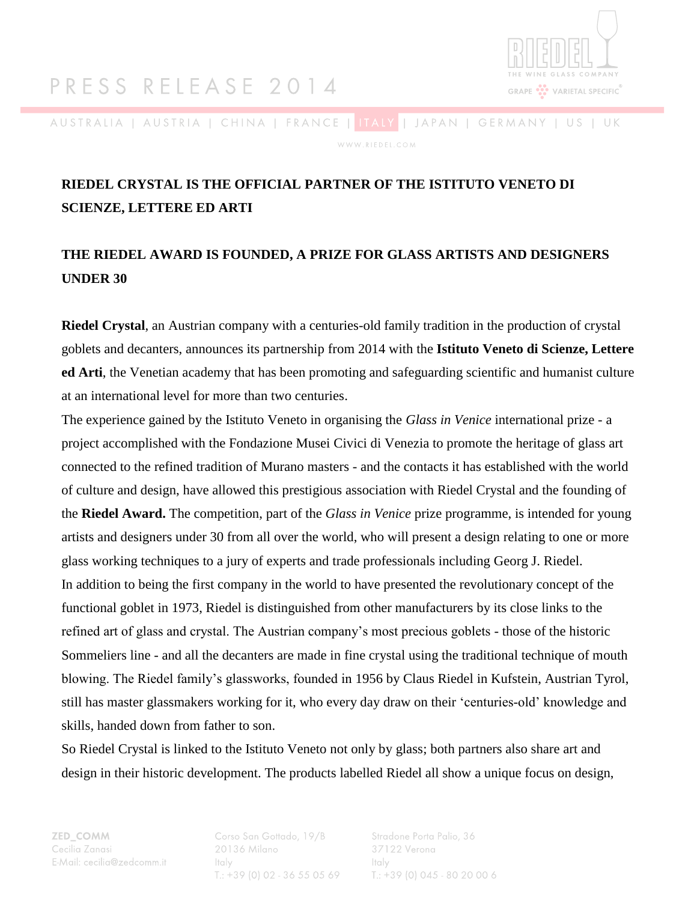## PRESS RELEASE 2014



AUSTRALIA | AUSTRIA | CHINA | FRANCE | <mark>ITALY</mark> | JAPAN | GERMANY | US | UK WWW.RIEDEL.COM

### **RIEDEL CRYSTAL IS THE OFFICIAL PARTNER OF THE ISTITUTO VENETO DI SCIENZE, LETTERE ED ARTI**

### **THE RIEDEL AWARD IS FOUNDED, A PRIZE FOR GLASS ARTISTS AND DESIGNERS UNDER 30**

**Riedel Crystal**, an Austrian company with a centuries-old family tradition in the production of crystal goblets and decanters, announces its partnership from 2014 with the **Istituto Veneto di Scienze, Lettere ed Arti**, the Venetian academy that has been promoting and safeguarding scientific and humanist culture at an international level for more than two centuries.

The experience gained by the Istituto Veneto in organising the *Glass in Venice* international prize - a project accomplished with the Fondazione Musei Civici di Venezia to promote the heritage of glass art connected to the refined tradition of Murano masters - and the contacts it has established with the world of culture and design, have allowed this prestigious association with Riedel Crystal and the founding of the **Riedel Award.** The competition, part of the *Glass in Venice* prize programme, is intended for young artists and designers under 30 from all over the world, who will present a design relating to one or more glass working techniques to a jury of experts and trade professionals including Georg J. Riedel. In addition to being the first company in the world to have presented the revolutionary concept of the functional goblet in 1973, Riedel is distinguished from other manufacturers by its close links to the refined art of glass and crystal. The Austrian company's most precious goblets - those of the historic Sommeliers line - and all the decanters are made in fine crystal using the traditional technique of mouth blowing. The Riedel family's glassworks, founded in 1956 by Claus Riedel in Kufstein, Austrian Tyrol, still has master glassmakers working for it, who every day draw on their 'centuries-old' knowledge and skills, handed down from father to son.

So Riedel Crystal is linked to the Istituto Veneto not only by glass; both partners also share art and design in their historic development. The products labelled Riedel all show a unique focus on design,

ZED\_COMM Cecilia Zanasi E-Mail: cecilia@zedcomm.it Corso San Gottado, 19/B 20136 Milano Italy  $T_{1}: +39(0)02 - 36550569$  Stradone Porta Palio, 36 37122 Verona Italy  $T_{1}: +39(0)045 - 8020006$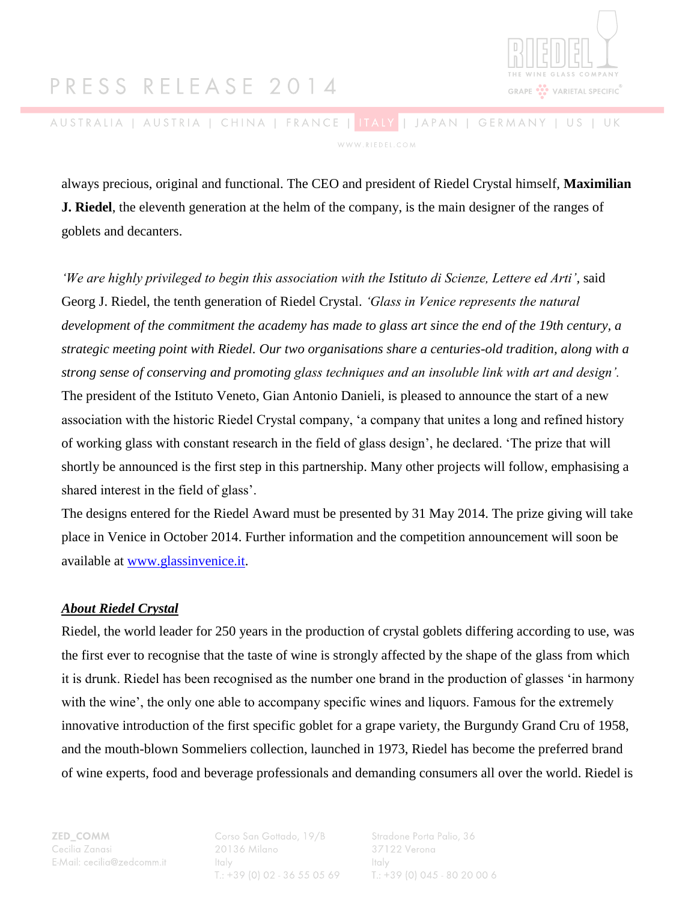# PRESS RELEASE 2014



AUSTRALIA | AUSTRIA | CHINA | FRANCE | <mark>ITALY</mark> | JAPAN | GERMANY | US | UK WWW.RIEDEL.COM

always precious, original and functional. The CEO and president of Riedel Crystal himself, **Maximilian J. Riedel**, the eleventh generation at the helm of the company, is the main designer of the ranges of goblets and decanters.

*'We are highly privileged to begin this association with the Istituto di Scienze, Lettere ed Arti',* said Georg J. Riedel, the tenth generation of Riedel Crystal. *'Glass in Venice represents the natural development of the commitment the academy has made to glass art since the end of the 19th century, a strategic meeting point with Riedel. Our two organisations share a centuries-old tradition, along with a strong sense of conserving and promoting glass techniques and an insoluble link with art and design'.* The president of the Istituto Veneto, Gian Antonio Danieli, is pleased to announce the start of a new association with the historic Riedel Crystal company, 'a company that unites a long and refined history of working glass with constant research in the field of glass design', he declared. 'The prize that will shortly be announced is the first step in this partnership. Many other projects will follow, emphasising a shared interest in the field of glass'.

The designs entered for the Riedel Award must be presented by 31 May 2014. The prize giving will take place in Venice in October 2014. Further information and the competition announcement will soon be available at [www.glassinvenice.it.](http://www.glassinvenice.it/)

#### *About Riedel Crystal*

Riedel, the world leader for 250 years in the production of crystal goblets differing according to use, was the first ever to recognise that the taste of wine is strongly affected by the shape of the glass from which it is drunk. Riedel has been recognised as the number one brand in the production of glasses 'in harmony with the wine', the only one able to accompany specific wines and liquors. Famous for the extremely innovative introduction of the first specific goblet for a grape variety, the Burgundy Grand Cru of 1958, and the mouth-blown Sommeliers collection, launched in 1973, Riedel has become the preferred brand of wine experts, food and beverage professionals and demanding consumers all over the world. Riedel is

ZED\_COMM Cecilia Zanasi E-Mail: cecilia@zedcomm.it Corso San Gottado, 19/B 20136 Milano Italy  $T.: +39(0)02 - 36550569$  Stradone Porta Palio, 36 37122 Verona Italy  $T_{1}: +39(0)045 - 8020006$